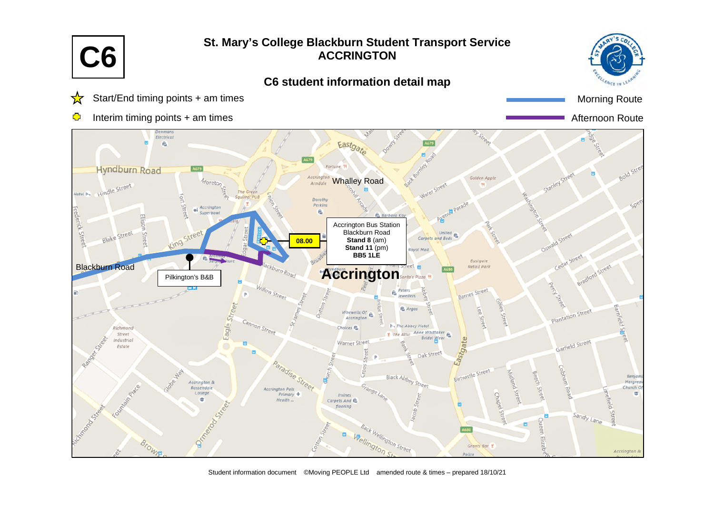

Student information document ©Moving PEOPLE Ltd amended route & times – prepared 18/10/21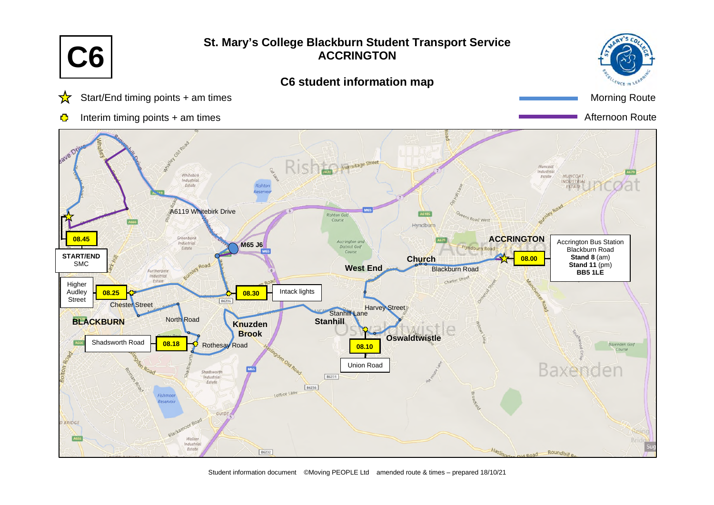

Student information document ©Moving PEOPLE Ltd amended route & times – prepared 18/10/21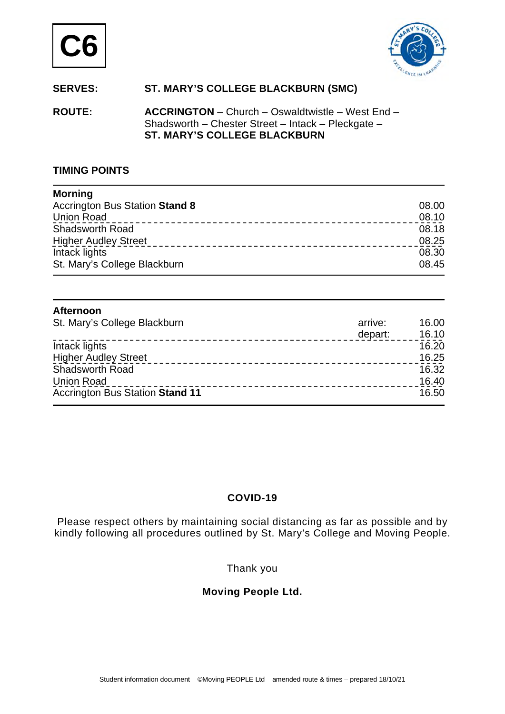



# **SERVES: ST. MARY'S COLLEGE BLACKBURN (SMC)**

**ROUTE: ACCRINGTON** – Church – Oswaldtwistle – West End – Shadsworth – Chester Street – Intack – Pleckgate – **ST. MARY'S COLLEGE BLACKBURN** 

### **TIMING POINTS**

| <b>Morning</b>                        |       |
|---------------------------------------|-------|
| <b>Accrington Bus Station Stand 8</b> | 08.00 |
| <b>Union Road</b>                     | 08.10 |
| Shadsworth Road                       | 08.18 |
| <b>Higher Audley Street</b>           | 08.25 |
| Intack lights                         | 08.30 |
| St. Mary's College Blackburn          | 08.45 |

#### **Afternoon**  St. Mary's College Blackburn and the state of the state of the state of the state of the state of the state of the state of the state of the state of the state of the state of the state of the state of the state of the sta depart: 16.10 Intack lights 16.20 Higher Audley Street 16.25 Shadsworth Road 16.32 Union Road 16.40 Accrington Bus Station Stand 11 **16.50** 16.50

# **COVID-19**

Please respect others by maintaining social distancing as far as possible and by kindly following all procedures outlined by St. Mary's College and Moving People.

# Thank you

# **Moving People Ltd.**